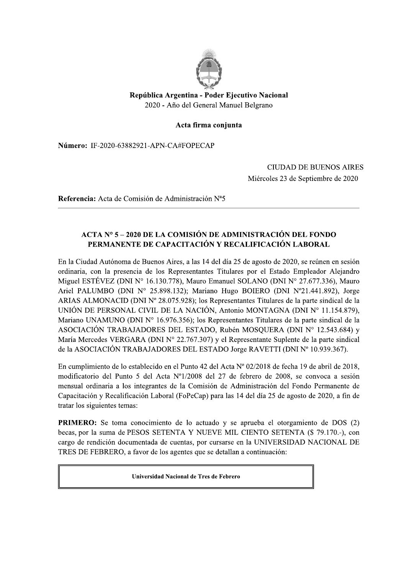# República Argentina - Poder Ejecutivo Nacional 2020 - Año del General Manuel Belgrano

#### Acta firma conjunta

Número: IF-2020-63882921-APN-CA#FOPECAP

## **CIUDAD DE BUENOS AIRES** Miércoles 23 de Septiembre de 2020

Referencia: Acta de Comisión de Administración N<sup>a</sup>5

### ACTA Nº 5 – 2020 DE LA COMISIÓN DE ADMINISTRACIÓN DEL FONDO PERMANENTE DE CAPACITACIÓN Y RECALIFICACIÓN LABORAL

En la Ciudad Autónoma de Buenos Aires, a las 14 del día 25 de agosto de 2020, se reúnen en sesión ordinaria, con la presencia de los Representantes Titulares por el Estado Empleador Alejandro Miguel ESTÉVEZ (DNI N° 16.130.778), Mauro Emanuel SOLANO (DNI N° 27.677.336), Mauro Ariel PALUMBO (DNI Nº 25.898.132); Mariano Hugo BOIERO (DNI Nº21.441.892), Jorge ARIAS ALMONACID (DNI  $N^{\circ}$  28.075.928); los Representantes Titulares de la parte sindical de la UNIÓN DE PERSONAL CIVIL DE LA NACIÓN, Antonio MONTAGNA (DNI Nº 11.154.879), Mariano UNAMUNO (DNI Nº 16.976.356); los Representantes Titulares de la parte sindical de la ASOCIACIÓN TRABAJADORES DEL ESTADO, Rubén MOSQUERA (DNI Nº 12.543.684) y María Mercedes VERGARA (DNI Nº 22.767.307) y el Representante Suplente de la parte sindical de la ASOCIACIÓN TRABAJADORES DEL ESTADO Jorge RAVETTI (DNI Nº 10.939.367).

En cumplimiento de lo establecido en el Punto 42 del Acta Nº 02/2018 de fecha 19 de abril de 2018, modificatorio del Punto 5 del Acta Nº1/2008 del 27 de febrero de 2008, se convoca a sesión mensual ordinaria a los integrantes de la Comisión de Administración del Fondo Permanente de Capacitación y Recalificación Laboral (FoPeCap) para las 14 del día 25 de agosto de 2020, a fin de tratar los siguientes temas:

**PRIMERO:** Se toma conocimiento de lo actuado y se aprueba el otorgamiento de DOS (2) becas, por la suma de PESOS SETENTA Y NUEVE MIL CIENTO SETENTA (\$ 79.170.-), con cargo de rendición documentada de cuentas, por cursarse en la UNIVERSIDAD NACIONAL DE TRES DE FEBRERO, a favor de los agentes que se detallan a continuación:

Universidad Nacional de Tres de Febrero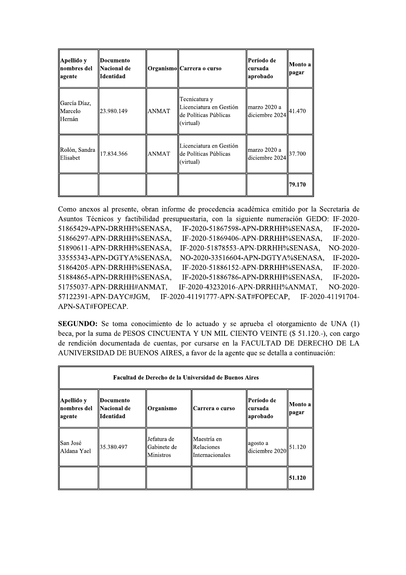33555343-APN-DGTYA%SENASA, NO-2020-33516604-APN-DGTYA%SENASA, IF-2020-<br>
51864205-APN-DRRHH%SENASA, IF-2020-51886152-APN-DRRHH%SENASA, IF-2020-<br>
51864205-APN-DRRHH%SENASA, IF-2020-51886786-APN-DRRHH%SENASA, IF-2020-<br>
518868

| Apellido y<br>  nombres del<br>  agente | Documento<br>Nacional de<br>Identidad | Organismo                                  | Carrera o curso                               | ∥Período de<br>  cursada<br>  aprobado | Monto a  <br>∥pagar |
|-----------------------------------------|---------------------------------------|--------------------------------------------|-----------------------------------------------|----------------------------------------|---------------------|
| San José<br>Aldana Yael                 | 35.380.497                            | Jefatura de<br>  Gabinete de<br> Ministros | ∥Maestría en<br>Relaciones<br>Internacionales | agosto a<br>diciembre 2020             | 51.120              |
|                                         |                                       |                                            |                                               |                                        | <b>51.120</b>       |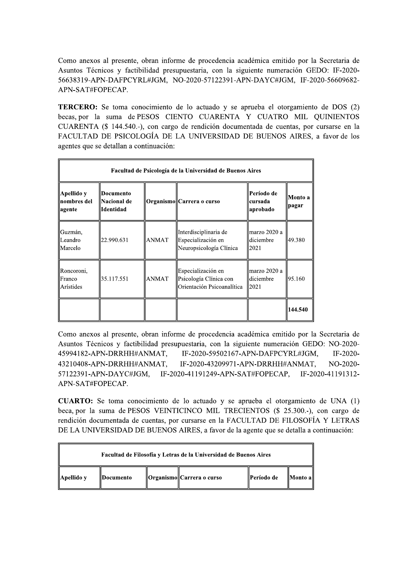Como anexos al presente, obran informe de procedencia académica emitido por la Secretaria de Asuntos Técnicos y factibilidad presupuestaria, con la siguiente numeración GEDO: IF-2020-56638319-APN-DAFPCYRL#JGM, NO-2020-57122391-APN-DAYC#JGM, IF-2020-56609682-APN-SAT#FOPECAP.

**TERCERO:** Se toma conocimiento de lo actuado y se aprueba el otorgamiento de DOS (2) becas por la suma de PESOS CIENTO CUARENTA Y CUATRO MIL OUINIENTOS CUARENTA (\$ 144.540.-), con cargo de rendición documentada de cuentas, por cursarse en la FACULTAD DE PSICOLOGÍA DE LA UNIVERSIDAD DE BUENOS AIRES, a favor de los agentes que se detallan a continuación:

| Facultad de Psicología de la Universidad de Buenos Aires |                                        |              |                                                                            |                                    |                   |  |  |
|----------------------------------------------------------|----------------------------------------|--------------|----------------------------------------------------------------------------|------------------------------------|-------------------|--|--|
| Apellido y<br> nombres del<br>agente                     | Documento<br>∥Nacional de<br>Identidad |              | Organismo Carrera o curso                                                  | Período de<br>cursada<br>aprobado  | Monto a<br> pagar |  |  |
| Guzmán,<br>Leandro<br>Marcelo                            | 22.990.631                             | <b>ANMAT</b> | Interdisciplinaria de<br>Especialización en<br>Neuropsicología Clínica     | marzo 2020 a<br>diciembre<br>2021  | 49.380            |  |  |
| Roncoroni,<br>Franco<br>Arístides                        | 35.117.551                             | <b>ANMAT</b> | Especialización en<br>Psicología Clínica con<br>Orientación Psicoanalítica | marzo 2020 a<br>diciembre<br>12021 | 95.160            |  |  |
|                                                          |                                        |              |                                                                            |                                    | 144.540           |  |  |

Como anexos al presente, obran informe de procedencia académica emitido por la Secretaria de Asuntos Técnicos y factibilidad presupuestaria, con la siguiente numeración GEDO: NO-2020-45994182-APN-DRRHH#ANMAT, IF-2020-59502167-APN-DAFPCYRL#JGM, IF-2020-43210408-APN-DRRHH#ANMAT, IF-2020-43209971-APN-DRRHH#ANMAT, NO-2020-57122391-APN-DAYC#JGM. IF-2020-41191249-APN-SAT#FOPECAP, IF-2020-41191312-APN-SAT#FOPECAP.

CUARTO: Se toma conocimiento de lo actuado y se aprueba el otorgamiento de UNA (1) beca, por la suma de PESOS VEINTICINCO MIL TRECIENTOS (\$ 25.300.-), con cargo de rendición documentada de cuentas, por cursarse en la FACULTAD DE FILOSOFÍA Y LETRAS DE LA UNIVERSIDAD DE BUENOS AIRES, a favor de la agente que se detalla a continuación:

| Facultad de Filosofía y Letras de la Universidad de Buenos Aires |                          |  |                            |             |           |  |  |
|------------------------------------------------------------------|--------------------------|--|----------------------------|-------------|-----------|--|--|
| Apellido v                                                       | <i><b>IDocumento</b></i> |  | Organismo  Carrera o curso | ∥Período de | Monto all |  |  |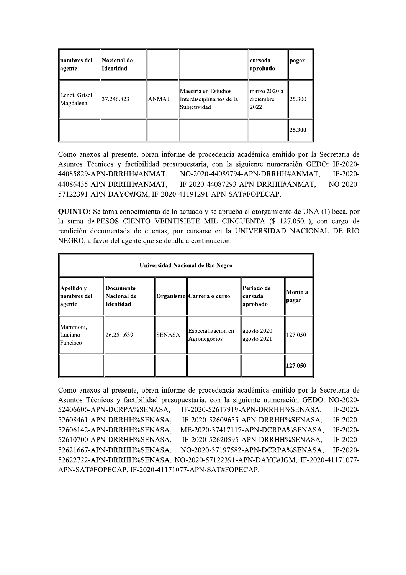| nombres del<br>∥agente     | <b>Nacional de</b><br>Identidad |              |                                                                     | cursada<br>  aprobado                 | pagar  |
|----------------------------|---------------------------------|--------------|---------------------------------------------------------------------|---------------------------------------|--------|
| Lenci, Grisel<br>Magdalena | 37.246.823                      | <b>ANMAT</b> | llMaestría en Estudios<br>Interdisciplinarios de la<br>Subjetividad | ∥marzo 2020 a<br>lldiciembre<br>12022 | 25.300 |
|                            |                                 |              |                                                                     |                                       | 25.300 |

Como anexos al presente, obran informe de procedencia académica emitido por la Secretaria de Asuntos Técnicos y factibilidad presupuestaria, con la siguiente numeración GEDO: IF-2020-44085829-APN-DRRHH#ANMAT, NO-2020-44089794-APN-DRRHH#ANMAT, IF-2020-44086435-APN-DRRHH#ANMAT, IF-2020-44087293-APN-DRRHH#ANMAT, NO-2020-57122391-APN-DAYC#JGM, IF-2020-41191291-APN-SAT#FOPECAP.

**QUINTO:** Se toma conocimiento de lo actuado y se aprueba el otorgamiento de UNA (1) beca, por la suma de PESOS CIENTO VEINTISIETE MIL CINCUENTA (\$ 127.050.-), con cargo de rendición documentada de cuentas, por cursarse en la UNIVERSIDAD NACIONAL DE RÍO NEGRO, a favor del agente que se detalla a continuación:

| Universidad Nacional de Río Negro        |                                        |               |                                    |                                      |                   |  |
|------------------------------------------|----------------------------------------|---------------|------------------------------------|--------------------------------------|-------------------|--|
| ∥Apellido y<br>  nombres del<br>  agente | Documento<br> Nacional de<br>Identidad |               | Organismo Carrera o curso          | Período de<br> cursada<br>  aprobado | Monto a<br>∥pagar |  |
| Mammoni,<br>Luciano<br><b>IFancisco</b>  | 26.251.639                             | <b>SENASA</b> | Especialización en<br>Agronegocios | agosto 2020<br>agosto 2021           | 127.050           |  |
|                                          |                                        |               |                                    |                                      | 127.050           |  |

Como anexos al presente, obran informe de procedencia académica emitido por la Secretaria de Asuntos Técnicos y factibilidad presupuestaria, con la siguiente numeración GEDO: NO-2020-52406606-APN-DCRPA%SENASA, IF-2020-52617919-APN-DRRHH%SENASA, IF-2020-52608461-APN-DRRHH%SENASA, IF-2020-52609655-APN-DRRHH%SENASA, IF-2020-52606142-APN-DRRHH%SENASA. ME-2020-37417117-APN-DCRPA%SENASA, IF-2020-52610700-APN-DRRHH%SENASA, IF-2020-52620595-APN-DRRHH%SENASA, IF-2020-NO-2020-37197582-APN-DCRPA%SENASA, 52621667-APN-DRRHH%SENASA, IF-2020-52622722-APN-DRRHH%SENASA, NO-2020-57122391-APN-DAYC#JGM, IF-2020-41171077-APN-SAT#FOPECAP, IF-2020-41171077-APN-SAT#FOPECAP.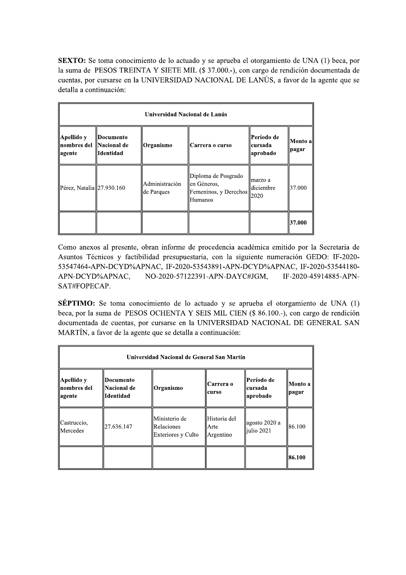SEXTO: Se toma conocimiento de lo actuado y se aprueba el otorgamiento de UNA (1) beca, por la suma de PESOS TREINTA Y SIETE MIL (\$ 37.000 .- ), con cargo de rendición documentada de cuentas, por cursarse en la UNIVERSIDAD NACIONAL DE LANÚS, a favor de la agente que se detalla a continuación:

| Universidad Nacional de Lanús                       |                          |                              |                                                                         |                                      |                  |  |
|-----------------------------------------------------|--------------------------|------------------------------|-------------------------------------------------------------------------|--------------------------------------|------------------|--|
| Apellido y<br>∥nombres del ∥Nacional de<br>  agente | Documento<br>  Identidad | Organismo                    | Carrera o curso                                                         | Período de<br> cursada<br>  aprobado | Monto a<br>pagar |  |
| Pérez, Natalia 27.930.160                           |                          | Administración<br>de Parques | Diploma de Posgrado<br>∥en Géneros,<br>Femeninos, y Derechos<br>Humanos | ∣marzo a<br>lldiciembre<br>2020      | 37.000           |  |
|                                                     |                          |                              |                                                                         |                                      | 37.000           |  |

Como anexos al presente, obran informe de procedencia académica emitido por la Secretaria de Asuntos Técnicos y factibilidad presupuestaria, con la siguiente numeración GEDO: IF-2020-53547464-APN-DCYD%APNAC, IF-2020-53543891-APN-DCYD%APNAC, IF-2020-53544180-APN-DCYD%APNAC, NO-2020-57122391-APN-DAYC#JGM, IF-2020-45914885-APN-SAT#FOPECAP.

SÉPTIMO: Se toma conocimiento de lo actuado y se aprueba el otorgamiento de UNA (1) beca, por la suma de PESOS OCHENTA Y SEIS MIL CIEN (\$ 86.100.-), con cargo de rendición documentada de cuentas, por cursarse en la UNIVERSIDAD NACIONAL DE GENERAL SAN MARTÍN, a favor de la agente que se detalla a continuación:

| Universidad Nacional de General San Martín                                               |            |                                                           |                                    |                                   |                  |  |
|------------------------------------------------------------------------------------------|------------|-----------------------------------------------------------|------------------------------------|-----------------------------------|------------------|--|
| Apellido y<br>Documento<br>  nombres del<br>  Nacional de<br><b>Identidad</b><br>∥agente |            | Organismo                                                 | Carrera o<br>  curso               | Período de<br>cursada<br>aprobado | Monto a<br>pagar |  |
| Castruccio,<br><b>IMercedes</b>                                                          | 27.636.147 | lMinisterio de<br><b>Relaciones</b><br>Exteriores y Culto | Historia del<br>lArte<br>Argentino | agosto 2020 a<br>iulio 2021       | 186.100          |  |
|                                                                                          |            |                                                           |                                    |                                   | 86.100           |  |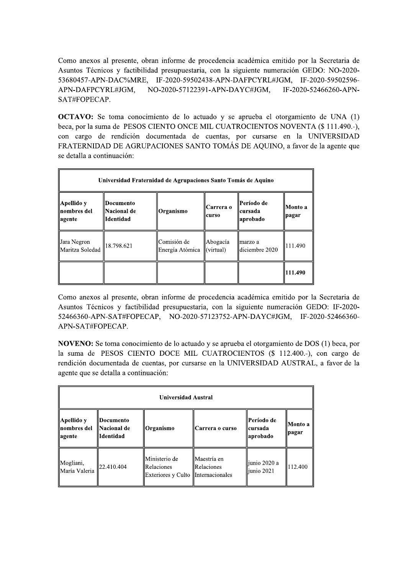Como anexos al presente, obran informe de procedencia académica emitido por la Secretaria de Asuntos Técnicos y factibilidad presupuestaria, con la siguiente numeración GEDO: NO-2020-53680457-APN-DAC%MRE, IF-2020-59502438-APN-DAFPCYRL#JGM, IF-2020-59502596-APN-DAFPCYRL#JGM, NO-2020-57122391-APN-DAYC#JGM, IF-2020-52466260-APN-SAT#FOPECAP.

**OCTAVO:** Se toma conocimiento de lo actuado y se aprueba el otorgamiento de UNA (1) beca, por la suma de PESOS CIENTO ONCE MIL CUATROCIENTOS NOVENTA (\$ 111.490.-), con cargo de rendición documentada de cuentas, por cursarse en la UNIVERSIDAD FRATERNIDAD DE AGRUPACIONES SANTO TOMÁS DE AQUINO, a favor de la agente que se detalla a continuación:

| Universidad Fraternidad de Agrupaciones Santo Tomás de Aquino                        |            |                                |                         |                                    |                   |  |  |
|--------------------------------------------------------------------------------------|------------|--------------------------------|-------------------------|------------------------------------|-------------------|--|--|
| ∥Apellido y<br>  Documento<br>  nombres del<br>∥Nacional de<br> Identidad<br>∥agente |            | Organismo                      | Carrera o<br>lcurso     | Período de<br>lcursada<br>aprobado | Monto a<br> pagar |  |  |
| ∥Jara Negron<br>Maritza Soledad                                                      | 18.798.621 | Comisión de<br>Energía Atómica | Abogacía<br>ll(virtual) | lmarzo a<br>lldiciembre 2020       | 111.490           |  |  |
|                                                                                      |            |                                |                         |                                    | 111.490           |  |  |

Como anexos al presente, obran informe de procedencia académica emitido por la Secretaria de Asuntos Técnicos y factibilidad presupuestaria, con la siguiente numeración GEDO: IF-2020-52466360-APN-SAT#FOPECAP, NO-2020-57123752-APN-DAYC#JGM, IF-2020-52466360-APN-SAT#FOPECAP.

NOVENO: Se toma conocimiento de lo actuado y se aprueba el otorgamiento de DOS (1) beca, por la suma de PESOS CIENTO DOCE MIL CUATROCIENTOS (\$ 112.400.-), con cargo de rendición documentada de cuentas, por cursarse en la UNIVERSIDAD AUSTRAL, a favor de la agente que se detalla a continuación:

|                                          | <b>Universidad Austral</b>                    |                                                                               |                                   |                                       |                    |  |  |
|------------------------------------------|-----------------------------------------------|-------------------------------------------------------------------------------|-----------------------------------|---------------------------------------|--------------------|--|--|
| ∥Apellido y<br>  nombres del<br>  agente | Documento<br><b>Nacional de</b><br> Identidad | Organismo                                                                     | Carrera o curso                   | ∥Período de<br>llcursada<br> aprobado | Monto a<br>  pagar |  |  |
| Mogliani,<br>María Valeria               | 122.410.404                                   | llMinisterio de<br><b>IRelaciones</b><br>Exteriores y Culto   Internacionales | Maestría en<br><b>IRelaciones</b> | liunio 2020 a<br>liunio 2021          | 12.400             |  |  |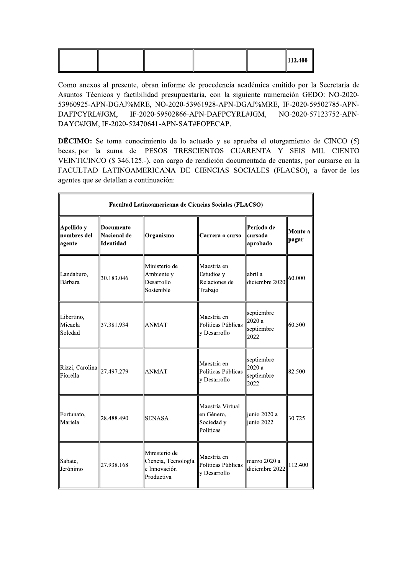|  |  |  | $\parallel$ 112.400 |
|--|--|--|---------------------|
|  |  |  |                     |

Como anexos al presente, obran informe de procedencia académica emitido por la Secretaria de Asuntos Técnicos y factibilidad presupuestaria, con la siguiente numeración GEDO: NO-2020-53960925-APN-DGAJ%MRE, NO-2020-53961928-APN-DGAJ%MRE, IF-2020-59502785-APN-DAFPCYRL#JGM, IF-2020-59502866-APN-DAFPCYRL#JGM, NO-2020-57123752-APN-DAYC#JGM, IF-2020-52470641-APN-SAT#FOPECAP.

**DÉCIMO:** Se toma conocimiento de lo actuado y se aprueba el otorgamiento de CINCO (5) becas, por la suma de PESOS TRESCIENTOS CUARENTA Y SEIS MIL CIENTO VEINTICINCO (\$ 346.125.-), con cargo de rendición documentada de cuentas, por cursarse en la FACULTAD LATINOAMERICANA DE CIENCIAS SOCIALES (FLACSO), a favor de los agentes que se detallan a continuación:

|                                            | Facultad Latinoamericana de Ciencias Sociales (FLACSO) |                                                                    |                                                           |                                            |                  |  |  |
|--------------------------------------------|--------------------------------------------------------|--------------------------------------------------------------------|-----------------------------------------------------------|--------------------------------------------|------------------|--|--|
| Apellido y<br>nombres del<br>agente        | <b>Documento</b><br>Nacional de<br>Identidad           | Organismo                                                          | Carrera o curso                                           | Período de<br>  cursada<br>aprobado        | Monto a<br>pagar |  |  |
| Landaburo,<br>Bárbara                      | 30.183.046                                             | Ministerio de<br>Ambiente y<br>Desarrollo<br>Sostenible            | Maestría en<br>Estudios y<br>Relaciones de<br>Trabajo     | abril a<br>diciembre 2020                  | 60.000           |  |  |
| Libertino,<br>Micaela<br>Soledad           | 37.381.934                                             | <b>ANMAT</b>                                                       | Maestría en<br>Políticas Públicas<br>y Desarrollo         | septiembre<br>2020 a<br>septiembre<br>2022 | 60.500           |  |  |
| Rizzi, Carolina $\ 27.497.279$<br>Fiorella |                                                        | <b>ANMAT</b>                                                       | Maestría en<br>Políticas Públicas<br>y Desarrollo         | septiembre<br>2020 a<br>septiembre<br>2022 | 82.500           |  |  |
| Fortunato,<br>Mariela                      | 28.488.490                                             | <b>SENASA</b>                                                      | Maestría Virtual<br>en Género,<br>Sociedad y<br>Políticas | junio 2020 a<br>junio 2022                 | 30.725           |  |  |
| Sabate,<br>Jerónimo                        | 27.938.168                                             | Ministerio de<br>Ciencia, Tecnología<br>e Innovación<br>Productiva | Maestría en<br>Políticas Públicas<br>y Desarrollo         | marzo 2020 a<br>diciembre 2022             | 112.400          |  |  |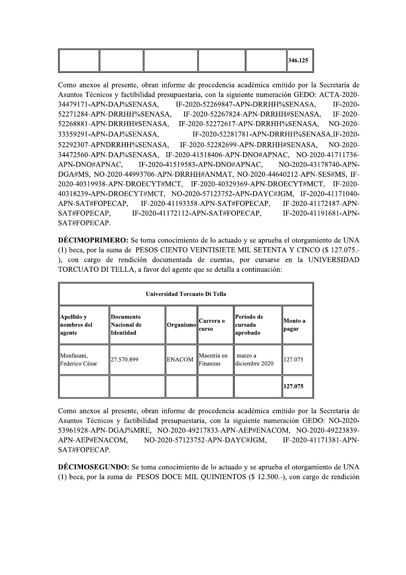|  |  |  | $\parallel$ 346.125 |
|--|--|--|---------------------|
|  |  |  |                     |

Como anexos al presente, obran informe de procedencia academica emitido por la Secretaria de Asuntos Tecnicos y factibilidad presupuestaria, con la siguiente numeración GEDO: A  $[346.125] \label{eq:201}$  Como anexos al presente, obran informe de procedencia académica emitido por la Sceretaria de<br>Asuntos Técnicos y factibilidad presupuestaria, con la siguiente numeración GEDO: ACTA-2020-<br>34479171-APN-DA FRIELE (1920)<br>
19746.125<br>
19746.125<br>
19746.125<br>
1988 y factibilidad presupuestaria, con la siguiente numeración GEDO: A<br>
DAJ%SENASA, IF-2020-52269847-APN-DRRHH%SENASA,<br>
DRRHH#SENASA, IF-2020-52267824-APN-DRRHH#SENA  $[346.125] \label{eq:34}$  Como anexos al presente, obran informe de procedencia académica emitido por la Secretaria de Asuntos Técnicos y factibilidad presupuestaria, con la siguente numeración GEDO: ACTA-2020-34479171-APN-DAJ% Fresente, obran informe de procedencia académica emitido por la Secry factibilidad presupuestaria, con la siguiente numeración GEDO: ACT<br>AJ%SENASA, IF-2020-52269847-APN-DRRHHP%SENASA,<br>RRHHP%SENASA, IF-2020-52267824-APN-DRR  $[346.125] \label{eq:202}$  Como anexos al presente, obran informe de procedencia académica emitido por la Secretaria de Asuntos Técnicos y factibilidad presupuestaria, con la siguiente numeración GEDO: ACTA-2020-34479171-APN-DA Source 11, 1920<br>
1946.125<br>
Terestie, obran informe de procedencia académica emitido por la Sec<br>
1946.125<br>
1946.125<br>
1946.125<br>
1946.125<br>
1946.125<br>
1946.125<br>
1946.125<br>
1946.125<br>
1946.125<br>
1946.125<br>
1946.125<br>
1946.125<br>
1948.1  $$\blacksquare$ {\small>\blacksquare$ {\small\textrm{5-3}}$ \small\textrm{5-5}}$ \small\textrm{5-5} \small\textrm{5-5} \small\textrm{6} \small\textrm{6} \small\textrm{6} \small\textrm{6} \small\textrm{6} \small\textrm{6} \small\textrm{6} \small\textrm{6} \small\textrm{6} \small\textrm{6} \small\textrm{6} \small\textrm{6} \small\textrm{6} \small\textrm{6} \small\textrm{6} \small\textrm{6} \small\textrm{6} \small\textrm{6} \small\textrm{6} \small\textrm{6} \small\textrm{$ Example and presente, obran informe de procedencia académica emitido por la Sceretaria de<br>
Asuntos Técnicos y factibilidad presupuestaria, con la siguiente numeración GEDO: ACTA-2020-<br>
34479171-APN-DAP/SENASA, FE-2020-5225 Fresente, obran informe de procedencia académica emitido por la Sec<br>
19 factibilidad presupuestaria, con la siguiente numeración GEDO: AC<br>
2019/SENASA, IF-2020-52269847-APN-DRRHHI%SENASA,<br>
2020-52269847-APN-DRRHHI%SENASA,<br> Como anexos al presente, obran informe de procedencia académica emitido por la Secretaria de Asuntos Técnicos y factibilidad presupuestaria, con la siguiente numeración GEDO: ACTA-2020-34479171-APN-DAI%SENASA, F-2020-52269 s al presente, obran informe de procedencia académica emitido por la<br>nicos y factibilidad presupuestaria, con la siguiente numeración GEDO<br>PN-DAJ%SENASA, IF-2020-52269847-APN-DRRHH%SENASA<br>PN-DRRHH#SENASA, IF-2020-52267824-Como anexos al presente, obran informe de procedencia académica emitido por la Secretaria de Asuntos Técnicos y factibilidad presuntearia, con la siguiente numeración GEDO: ACTA-2020-52271284-APN-DRRHH#SENASA, IF-2020-5227 ntos Técnicos y factibilidad presupuestaria, con la siguiente numeració<br>79171-APN-DAJ%SENASA, IF-2020-52269847-APN-DRRHH%S<br>71284-APN-DRRHH%SENASA, IF-2020-52267824-APN-DRRHH%<br>58881-APN-DRRHH#SENASA, IF-2 Asuntos Técnicos y factibilidad presupuestaria, con la siguiente numeración GEDO: ACTA-2020-<br>
3479171-APN-DAP/s/SENASA, F-2020-52269847-APN-DRRHHF/SSENASA, F-2020-<br>
52271284-APN-DRRHHF/SENASA, FF-2020-52267824-APN-DRRHHF/S 34479171-APN-DAJ%SENASA, IF-2020-52269847-APN<br>
52271284-APN-DRRHH%SENASA, IF-2020-52267824-A<br>
52268881-APN-DRRHH#SENASA, IF-2020-52272617-AP<br>
33359291-APN-DAJ%SENASA, IF-2020-52272617-AP<br>
33359291-APN-DAJ%SENASA, IF-2020-5 IF-2020-52269847-APN-DRRHH%SENASA, IF-2020-<br>
IF-2020-52267824-APN-DRRHH%SENASA, IF-2020-<br>
IF-2020-52272617-APN-DRRHH%SENASA, IF-2020-<br>
IF-2020-52272617-APN-DRRHH%SENASA, NO-2020-<br>
IF-2020-52281781-APN-DRRHH%SENASA, NO-2020 34479171-APN-DAJ%SENASA, IF-2020-52269847-APN-DRRHH%SENASA, IF-2020-52269847-APN-DRRHH%SENASA, IF-2020-52275824-APN-DRRRHH%SENASA, NO-2020-52268881-APN-DRRHH#%SENASA, IF-2020-522726134-APN-DRRRHH%SENASA, IF-2020-52281781-HH%SENASA, IF-2020-52267824-APN-DRRHH#SENASA, IF-HH#SENASA, IF-2020-52272617-APN-DRRHH#SENASA, NO<br>
%SENASA, IF-2020-52281781-APN-DRRHH%SENASA, NO<br>
%SENASA, IF-2020-52281781-APN-DRRHH%SENASA, NO<br>
%SENASA, IF-2020-52282699-A 52271284-APN-DRRHH<sup>9</sup>%SENASA, IF-2020-52267824-APN-DRRHH#SENASA, IF-2020-5226881-APN-DRRHH#SENASA, IF-2020-52276717-APN-DRRHH#SENASA, NO-2020-5235971-APN-DAP/%SENASA, IF-2020-52281781-APN-DRRHH%SENASA, NO-2020-52292307-APN DRRHH#SENASA, IF-2020-52272617-APN-DRRHH%SENASA,<br>DAJ%SENASA, IF-2020-52272617-APN-DRRHH%SENASA,<br>DRRHH%SENASA, IF-2020-52282699-APN-DRRHH#SENASA,<br>DAJ%SENASA, IF-2020-52282699-APN-DRRHH#SENASA,<br>DAJ%SENASA, IF-2020-41518406-A 52268881-APN-DRRHH#SENASA, IF-2020-52272617-APN-DRRHH#%SENASA, NO-2020-33359291-APN-DARHH%SENASA, IF-2020-52282781781-APN-DRRHH#%SENASA, IF-2020-522827817-APN-DRRHH#%SENASA, IF-2020-522827699-APN-DRRHH#SENASA, NO-2020-344 9291-APN-DAJ%SENASA, IF-2020-52281781-APN-DRRH<br>2307-APNDRRHH%SENASA, IF-2020-52282699-APN-DRRHH#S<br>2560-APN-DAJ%SENASA, IF-2020-41518406-APN-DNO#APNAC,<br>-DNO#APNAC, IF-2020-41519583-APN-DNO#APNAC, NO<br>4%MS, NO-2020-44993706-A 33359291-APN-DAJ%SENASA, IF-2020-52281781-APN-DRRHH%SENASA, IF-2020-52282699-APN-DRRHH%SENASA, IF-2020-41518406-APN-DRRHH#SENASA, NO-2020-41518406-APN-DRRHH#SENASA, NO-2020-41518406-APN-DRRHH#ANC, NO-2020-41711736-APN-DROH 2292307-APNDRRHH%SENASA, IF-2020-52282699-APN-DRRHH472560-APN-DAJ%SENASA, IF-2020-41518406-APN-DNO#APNA<br>
472560-APN-DAJ%SENASA, IF-2020-41518406-APN-DNO#APNA<br>
PN-DNO#APNAC, IF-2020-41519583-APN-DNO#APNAC, N<br>
GA#MS, NO-202 52292307-APNDRRHH%SENASA, IF-2020-52282699-APN-DRRHH#SENASA, NO-2020-34472560-APN-DAJ%SENASA, IF-2020-41518406-APN-DNO#APNAC, NO-2020-4111736-APN-DNO#APNAC, NO-2020-41171736-APN-DROECOMEABFACC, NO-2020-431178740-APN-DROEC 2020-40319938-APN-DROECYT#MCT, IF-2020-40329369-APN-DROECYT#MCT, IF-2020-40339369-APN-DROECYT#MCT, IF-2020-40329369-APN-DROECYT#MCT, IF-2020-410318239-APN-DROECYT#MCT, NO-2020-57123752-APN-DAYC#JGM, IF-2020-41171040-<br>APN-

Se toma conocimiento de lo actuado y se aprueba el otorgamiento de UNA (1) beca, por la suma de PESOS CIENTO VEINTISIETE MIL SETENTA Y CINCO (\$1. con cargo de rendición documentada de cuentas, por cursarse en la UNIVERSIDAD TORCUATO DI TELLA, a favor del agente que se detalla a continuación:

|                                          |                                         | Universidad Torcuato Di Tella |                         |                                             |                    |
|------------------------------------------|-----------------------------------------|-------------------------------|-------------------------|---------------------------------------------|--------------------|
| ∥Apellido y<br>  nombres del<br>  agente | Documento<br>  Nacional de<br>Identidad | Organismo                     | Carrera o<br>lcurso     | Período de<br><b>lcursada</b><br>  aprobado | Monto a<br>  pagar |
| Monfasani,<br><b>IFederico César</b>     | 27.570.899                              | <b>ENACOM</b>                 | Maestría en<br>Finanzas | marzo a<br>diciembre 2020                   | 127.075            |
|                                          |                                         |                               |                         |                                             | 127.075            |

Como anexos al presente, obran informe de procedencia academica emitido por la Secretaria de Asuntos Tecnicos y factibilidad presupuestaria, con la siguiente numeración GEDO: N Monfasani,<br>
Pederico César<br>
Pederico César<br>
27.570.899<br>
Como anexos al presente, obran informe de procedencia académica emitido por la Sceretaria de<br>
Asuntos Técnicos y factibilidad presupuestaria, con la siguiente numerac ENACOM Finanzas diciembre 2020 127.075<br>
0s al presente, obran informe de procedencia académica emitido por<br>
ecnicos y factibilidad presupuestaria, con la siguiente numeración GENPN-DGAJ%MRE, NO-2020-49217833-APN-AEP#ENACOM 0%'()()'+-((\*7\*-' /0'#/:#0%; anexos al presente, obran informe de procedencia académica emitido<br>
s Técnicos y factibilidad presupuestaria, con la siguiente numeraciór<br>
28-APN-DGAJ%MRE, NO-2020-49217833-APN-AEP#ENACOM, IEP#ENACOM, NO-2020-57123752-APN-Como anexos al presente, obran informe de procedencia académica emitido por la Secretaria de Asuntos Técnicos y factibilidad presupuestaria, con la siguiente numeración GEDO: NO-2020-ASTOPO-10-ADCAD/%MRE, NO-2020-49217833ocedencia académica emitido por la Secretaria c<br>
, con la siguiente numeración GEDO: NO-2020<br>
7833-APN-AEP#ENACOM, NO-2020-49223839<br>
-APN-DAYC#JGM, IF-2020-41171381-APN<br>
e lo actuado y se aprueba el otorgamiento de UN:<br>
UU

Se toma conocimiento de lo actuado y se aprueba el otorgamiento de UNA (1) beca, por la suma de PESOS DOCE MIL QUINIENTOS (\$ 12.500.-), con cargo de rendición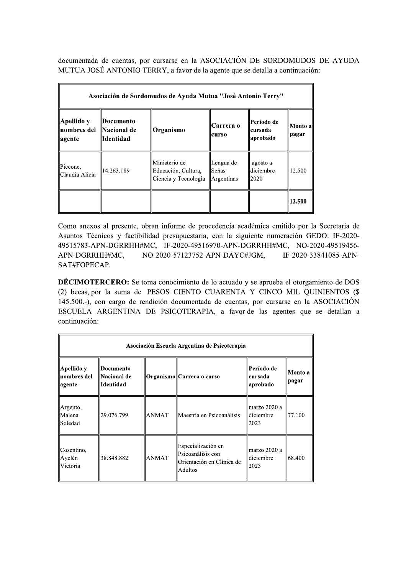documentada de cuentas, por cursarse en la ASOCIACIÓN DE SORDOMUDOS DE AYUDA MUTUA JOSÉ ANTONIO TERRY, a favor de la agente que se detalla a continuación:

|                                        |                                              | Asociación de Sordomudos de Ayuda Mutua "José Antonio Terry"   |                                         |                                     |                   |
|----------------------------------------|----------------------------------------------|----------------------------------------------------------------|-----------------------------------------|-------------------------------------|-------------------|
| Apellido y<br>  nombres del<br> agente | Documento<br><b>Nacional de</b><br>Identidad | Organismo                                                      | Carrera o<br>lcurso                     | Período de<br>lcursada<br> aprobado | Monto al<br>pagar |
| Piccone,<br>lClaudia Alicia            | 14.263.189                                   | llMinisterio de<br>Educación, Cultura,<br>Ciencia y Tecnología | Lengua de<br><b>Señas</b><br>Argentinas | agosto a<br>ldiciembre<br> 2020     | 12.500            |
|                                        |                                              |                                                                |                                         |                                     | 12.500            |

Como anexos al presente, obran informe de procedencia académica emitido por la Secretaria de Asuntos Técnicos y factibilidad presupuestaria, con la siguiente numeración GEDO: IF-2020-49515783-APN-DGRRHH#MC, IF-2020-49516970-APN-DGRRHH#MC, NO-2020-49519456-APN-DGRRHH#MC, NO-2020-57123752-APN-DAYC#JGM, IF-2020-33841085-APN-SAT#FOPECAP.

DÉCIMOTERCERO: Se toma conocimiento de lo actuado y se aprueba el otorgamiento de DOS (2) becas, por la suma de PESOS CIENTO CUARENTA Y CINCO MIL QUINIENTOS (\$ 145.500.-), con cargo de rendición documentada de cuentas, por cursarse en la ASOCIACIÓN ESCUELA ARGENTINA DE PSICOTERAPIA, a favor de las agentes que se detallan a continuación:

|                                      |                                         |              | Asociación Escuela Argentina de Psicoterapia                                      |                                   |                  |
|--------------------------------------|-----------------------------------------|--------------|-----------------------------------------------------------------------------------|-----------------------------------|------------------|
| Apellido y<br>nombres del<br> agente | Documento<br>  Nacional de<br>Identidad |              | Organismo∥Carrera o curso                                                         | Período de<br>cursada<br>aprobado | Monto a<br>pagar |
| Argento,<br>Malena<br>Soledad        | 29.076.799                              | <b>ANMAT</b> | Maestría en Psicoanálisis                                                         | marzo 2020 a<br>diciembre<br>2023 | 77.100           |
| Cosentino,<br> Ayelén<br>Victoria    | 38.848.882                              | <b>ANMAT</b> | Especialización en<br>lPsicoanálisis con<br>Orientación en Clínica de<br> Adultos | marzo 2020 a<br>diciembre<br>2023 | 68.400           |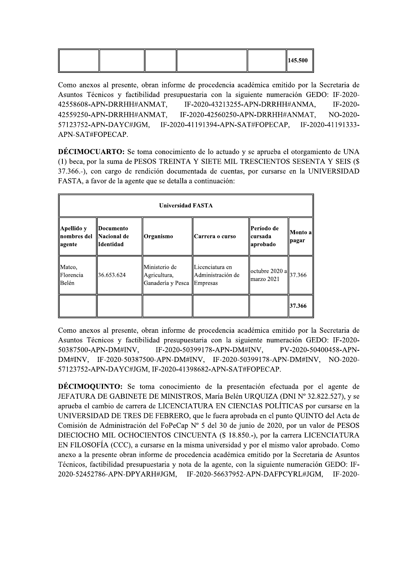|  |  |  | $\parallel$ 145.500 |
|--|--|--|---------------------|
|  |  |  |                     |

Como anexos al presente, obran informe de procedencia académica emitido por la Secretaria de Asuntos Técnicos y factibilidad presupuestaria con la siguiente numeración GEDO: IF-2020-42558608-APN-DRRHH#ANMAT, IF-2020-43213255-APN-DRRHH#ANMA, IF-2020-42559250-APN-DRRHH#ANMAT, IF-2020-42560250-APN-DRRHH#ANMAT, NO-2020-57123752-APN-DAYC#JGM. IF-2020-41191394-APN-SAT#FOPECAP, IF-2020-41191333-APN-SAT#FOPECAP.

**DÉCIMOCUARTO:** Se toma conocimiento de lo actuado y se aprueba el otorgamiento de UNA (1) beca, por la suma de PESOS TREINTA Y SIETE MIL TRESCIENTOS SESENTA Y SEIS (\$ 37.366.-), con cargo de rendición documentada de cuentas, por cursarse en la UNIVERSIDAD FASTA, a favor de la agente que se detalla a continuación:

|                                        |                                              | <b>Universidad FASTA</b>                                      |                                        |                                                                           |                     |
|----------------------------------------|----------------------------------------------|---------------------------------------------------------------|----------------------------------------|---------------------------------------------------------------------------|---------------------|
| Apellido y<br>∥nombres del<br>  agente | Documento<br><b>Nacional de</b><br>Identidad | Organismo                                                     | Carrera o curso                        | ∥Período de<br>  cursada<br>  aprobado                                    | Monto a  <br> pagar |
| Mateo,<br>Florencia<br>Belén           | 36.653.624                                   | Ministerio de<br>Agricultura,<br>Ganadería y Pesca   Empresas | llLicenciatura en<br>Administración de | $\left\  \text{octubre } 2020 \text{ a} \right\ _{37.366}$<br>lmarzo 2021 |                     |
|                                        |                                              |                                                               |                                        |                                                                           | 37.366              |

Como anexos al presente, obran informe de procedencia académica emitido por la Secretaria de Asuntos Técnicos y factibilidad presupuestaria con la siguiente numeración GEDO: IF-2020-PV-2020-50400458-APN-50387500-APN-DM#INV, IF-2020-50399178-APN-DM#INV, DM#INV, IF-2020-50387500-APN-DM#INV, IF-2020-50399178-APN-DM#INV, NO-2020-57123752-APN-DAYC#JGM, IF-2020-41398682-APN-SAT#FOPECAP.

**DÉCIMOQUINTO:** Se toma conocimiento de la presentación efectuada por el agente de JEFATURA DE GABINETE DE MINISTROS, María Belén URQUIZA (DNI Nº 32.822.527), y se aprueba el cambio de carrera de LICENCIATURA EN CIENCIAS POLÍTICAS por cursarse en la UNIVERSIDAD DE TRES DE FEBRERO, que le fuera aprobada en el punto QUINTO del Acta de Comisión de Administración del FoPeCap Nº 5 del 30 de junio de 2020, por un valor de PESOS DIECIOCHO MIL OCHOCIENTOS CINCUENTA (\$ 18.850.-), por la carrera LICENCIATURA EN FILOSOFÍA (CCC), a cursarse en la misma universidad y por el mismo valor aprobado. Como anexo a la presente obran informe de procedencia académica emitido por la Secretaria de Asuntos Técnicos, factibilidad presupuestaria y nota de la agente, con la siguiente numeración GEDO: IF-2020-52452786-APN-DPYARH#JGM, IF-2020-56637952-APN-DAFPCYRL#JGM, IF-2020-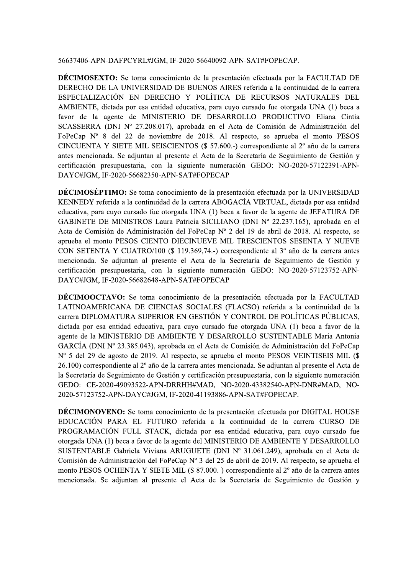#### 56637406-APN-DAFPCYRL#JGM, IF-2020-56640092-APN-SAT#FOPECAP.

**DÉCIMOSEXTO:** Se toma conocimiento de la presentación efectuada por la FACULTAD DE DERECHO DE LA UNIVERSIDAD DE BUENOS AIRES referida a la continuidad de la carrera ESPECIALIZACIÓN EN DERECHO Y POLÍTICA DE RECURSOS NATURALES DEL AMBIENTE, dictada por esa entidad educativa, para cuyo cursado fue otorgada UNA (1) beca a favor de la agente de MINISTERIO DE DESARROLLO PRODUCTIVO Eliana Cintia SCASSERRA (DNI Nº 27.208.017), aprobada en el Acta de Comisión de Administración del FoPeCap  $N^{\circ}$  8 del 22 de noviembre de 2018. Al respecto, se aprueba el monto PESOS CINCUENTA Y SIETE MIL SEISCIENTOS (\$ 57.600.-) correspondiente al 2<sup>°</sup> año de la carrera antes mencionada. Se adjuntan al presente el Acta de la Secretaría de Seguimiento de Gestión y certificación presupuestaria, con la siguiente numeración GEDO: NO-2020-57122391-APN-DAYC#JGM, IF-2020-56682350-APN-SAT#FOPECAP

**DÉCIMOSÉPTIMO:** Se toma conocimiento de la presentación efectuada por la UNIVERSIDAD KENNEDY referida a la continuidad de la carrera ABOGACÍA VIRTUAL, dictada por esa entidad educativa, para cuyo cursado fue otorgada UNA (1) beca a favor de la agente de JEFATURA DE GABINETE DE MINISTROS Laura Patricia SICILIANO (DNI Nº 22.237.165), aprobada en el Acta de Comisión de Administración del FoPeCap Nº 2 del 19 de abril de 2018. Al respecto, se aprueba el monto PESOS CIENTO DIECINUEVE MIL TRESCIENTOS SESENTA Y NUEVE CON SETENTA Y CUATRO/100 (\$ 119.369.74.-) correspondiente al 3<sup>o</sup> año de la carrera antes mencionada. Se adjuntan al presente el Acta de la Secretaría de Seguimiento de Gestión y certificación presupuestaria, con la siguiente numeración GEDO: NO-2020-57123752-APN-DAYC#JGM, IF-2020-56682648-APN-SAT#FOPECAP

**DÉCIMOOCTAVO:** Se toma conocimiento de la presentación efectuada por la FACULTAD LATINOAMERICANA DE CIENCIAS SOCIALES (FLACSO) referida a la continuidad de la carrera DIPLOMATURA SUPERIOR EN GESTIÓN Y CONTROL DE POLÍTICAS PÚBLICAS, dictada por esa entidad educativa, para cuyo cursado fue otorgada UNA (1) beca a favor de la agente de la MINISTERIO DE AMBIENTE Y DESARROLLO SUSTENTABLE María Antonia GARCÍA (DNI  $N^{\circ}$  23.385.043), aprobada en el Acta de Comisión de Administración del FoPeCap N° 5 del 29 de agosto de 2019. Al respecto, se aprueba el monto PESOS VEINTISEIS MIL (\$ 26.100) correspondiente al 2º año de la carrera antes mencionada. Se adjuntan al presente el Acta de la Secretaría de Seguimiento de Gestión y certificación presupuestaria, con la siguiente numeración GEDO: CE-2020-49093522-APN-DRRHH#MAD, NO-2020-43382540-APN-DNR#MAD, NO-2020-57123752-APN-DAYC#JGM, IF-2020-41193886-APN-SAT#FOPECAP.

**DÉCIMONOVENO:** Se toma conocimiento de la presentación efectuada por DIGITAL HOUSE EDUCACIÓN PARA EL FUTURO referida a la continuidad de la carrera CURSO DE PROGRAMACIÓN FULL STACK, dictada por esa entidad educativa, para cuyo cursado fue otorgada UNA (1) beca a favor de la agente del MINISTERIO DE AMBIENTE Y DESARROLLO SUSTENTABLE Gabriela Viviana ARUGUETE (DNI Nº 31.061.249), aprobada en el Acta de Comisión de Administración del FoPeCap Nº 3 del 25 de abril de 2019. Al respecto, se aprueba el monto PESOS OCHENTA Y SIETE MIL (\$ 87.000.-) correspondiente al 2<sup>°</sup> año de la carrera antes mencionada. Se adjuntan al presente el Acta de la Secretaría de Seguimiento de Gestión y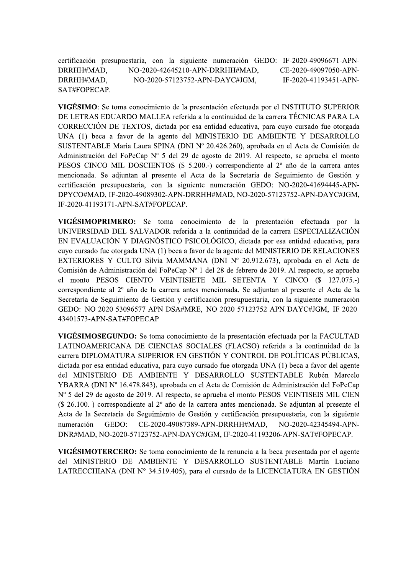certificación presupuestaria, con la siguiente numeración GEDO: IF-2020-49096671-APN-DRRHH#MAD, NO-2020-42645210-APN-DRRHH#MAD, CE-2020-49097050-APN-NO-2020-57123752-APN-DAYC#JGM, IF-2020-41193451-APN-DRRHH#MAD, SAT#FOPECAP.

**VIGÉSIMO**: Se toma conocimiento de la presentación efectuada por el INSTITUTO SUPERIOR DE LETRAS EDUARDO MALLEA referida a la continuidad de la carrera TÉCNICAS PARA LA CORRECCIÓN DE TEXTOS, dictada por esa entidad educativa, para cuyo cursado fue otorgada UNA (1) beca a favor de la agente del MINISTERIO DE AMBIENTE Y DESARROLLO SUSTENTABLE María Laura SPINA (DNI Nº 20.426.260), aprobada en el Acta de Comisión de Administración del FoPeCap Nº 5 del 29 de agosto de 2019. Al respecto, se aprueba el monto PESOS CINCO MIL DOSCIENTOS (\$ 5.200.-) correspondiente al 2º año de la carrera antes mencionada. Se adjuntan al presente el Acta de la Secretaría de Seguimiento de Gestión y certificación presupuestaria, con la siguiente numeración GEDO: NO-2020-41694445-APN-DPYCO#MAD, IF-2020-49089302-APN-DRRHH#MAD, NO-2020-57123752-APN-DAYC#JGM, IF-2020-41193171-APN-SAT#FOPECAP.

VIGÉSIMOPRIMERO: Se toma conocimiento de la presentación efectuada por la UNIVERSIDAD DEL SALVADOR referida a la continuidad de la carrera ESPECIALIZACIÓN EN EVALUACIÓN Y DIAGNÓSTICO PSICOLÓGICO, dictada por esa entidad educativa, para cuvo cursado fue otorgada UNA (1) beca a favor de la agente del MINISTERIO DE RELACIONES EXTERIORES Y CULTO Silvia MAMMANA (DNI Nº 20.912.673), aprobada en el Acta de Comisión de Administración del FoPeCap  $N^{\circ}$  1 del 28 de febrero de 2019. Al respecto, se aprueba el monto PESOS CIENTO VEINTISIETE MIL SETENTA Y CINCO (\$ 127.075.-) correspondiente al 2º año de la carrera antes mencionada. Se adjuntan al presente el Acta de la Secretaría de Seguimiento de Gestión y certificación presupuestaria, con la siguiente numeración GEDO: NO-2020-53096577-APN-DSA#MRE, NO-2020-57123752-APN-DAYC#JGM, IF-2020-43401573-APN-SAT#FOPECAP

VIGÉSIMOSEGUNDO: Se toma conocimiento de la presentación efectuada por la FACULTAD LATINOAMERICANA DE CIENCIAS SOCIALES (FLACSO) referida a la continuidad de la carrera DIPLOMATURA SUPERIOR EN GESTIÓN Y CONTROL DE POLÍTICAS PÚBLICAS. dictada por esa entidad educativa, para cuyo cursado fue otorgada UNA (1) beca a favor del agente del MINISTERIO DE AMBIENTE Y DESARROLLO SUSTENTABLE Rubén Marcelo YBARRA (DNI Nº 16.478.843), aprobada en el Acta de Comisión de Administración del FoPeCap N° 5 del 29 de agosto de 2019. Al respecto, se aprueba el monto PESOS VEINTISEIS MIL CIEN  $(S$  26.100.-) correspondiente al  $2^{\circ}$  año de la carrera antes mencionada. Se adjuntan al presente el Acta de la Secretaría de Seguimiento de Gestión y certificación presupuestaria, con la siguiente CE-2020-49087389-APN-DRRHH#MAD, numeración GEDO: NO-2020-42345494-APN-DNR#MAD, NO-2020-57123752-APN-DAYC#JGM, IF-2020-41193206-APN-SAT#FOPECAP.

VIGÉSIMOTERCERO: Se toma conocimiento de la renuncia a la beca presentada por el agente del MINISTERIO DE AMBIENTE Y DESARROLLO SUSTENTABLE Martín Luciano LATRECCHIANA (DNI Nº 34.519.405), para el cursado de la LICENCIATURA EN GESTIÓN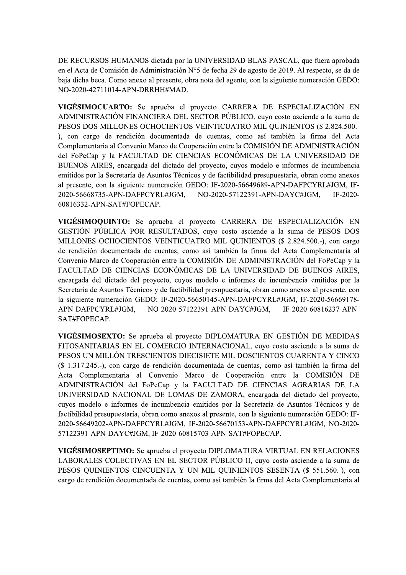DE RECURSOS HUMANOS dictada por la UNIVERSIDAD BLAS PASCAL, que fuera aprobada en el Acta de Comisión de Administración N°5 de fecha 29 de agosto de 2019. Al respecto, se da de baja dicha beca. Como anexo al presente, obra nota del agente, con la siguiente numeración GEDO: NO-2020-42711014-APN-DRRHH#MAD.

VIGÉSIMOCUARTO: Se aprueba el proyecto CARRERA DE ESPECIALIZACIÓN EN ADMINISTRACIÓN FINANCIERA DEL SECTOR PÚBLICO, cuyo costo asciende a la suma de PESOS DOS MILLONES OCHOCIENTOS VEINTICUATRO MIL QUINIENTOS (\$ 2.824.500.-), con cargo de rendición documentada de cuentas, como así también la firma del Acta Complementaria al Convenio Marco de Cooperación entre la COMISIÓN DE ADMINISTRACIÓN del FoPeCap y la FACULTAD DE CIENCIAS ECONÓMICAS DE LA UNIVERSIDAD DE BUENOS AIRES, encargada del dictado del proyecto, cuyos modelo e informes de incumbencia emitidos por la Secretaría de Asuntos Técnicos y de factibilidad presupuestaria, obran como anexos al presente, con la siguiente numeración GEDO: IF-2020-56649689-APN-DAFPCYRL#JGM, IF-2020-56668735-APN-DAFPCYRL#JGM, NO-2020-57122391-APN-DAYC#JGM, IF-2020-60816332-APN-SAT#FOPECAP.

VIGÉSIMOQUINTO: Se aprueba el proyecto CARRERA DE ESPECIALIZACIÓN EN GESTIÓN PÚBLICA POR RESULTADOS, cuyo costo asciende a la suma de PESOS DOS MILLONES OCHOCIENTOS VEINTICUATRO MIL QUINIENTOS (\$ 2.824.500.-), con cargo de rendición documentada de cuentas, como así también la firma del Acta Complementaria al Convenio Marco de Cooperación entre la COMISIÓN DE ADMINISTRACIÓN del FoPeCap y la FACULTAD DE CIENCIAS ECONÓMICAS DE LA UNIVERSIDAD DE BUENOS AIRES, encargada del dictado del proyecto, cuyos modelo e informes de incumbencia emitidos por la Secretaría de Asuntos Técnicos y de factibilidad presupuestaria, obran como anexos al presente, con la siguiente numeración GEDO: IF-2020-56650145-APN-DAFPCYRL#JGM, IF-2020-56669178-APN-DAFPCYRL#JGM, NO-2020-57122391-APN-DAYC#JGM, IF-2020-60816237-APN-SAT#FOPECAP.

VIGÉSIMOSEXTO: Se aprueba el proyecto DIPLOMATURA EN GESTIÓN DE MEDIDAS FITOSANITARIAS EN EL COMERCIO INTERNACIONAL, cuyo costo asciende a la suma de PESOS UN MILLÓN TRESCIENTOS DIECISIETE MIL DOSCIENTOS CUARENTA Y CINCO (\$ 1.317.245.-), con cargo de rendición documentada de cuentas, como así también la firma del Acta Complementaria al Convenio Marco de Cooperación entre la COMISIÓN DE ADMINISTRACIÓN del FoPeCap y la FACULTAD DE CIENCIAS AGRARIAS DE LA UNIVERSIDAD NACIONAL DE LOMAS DE ZAMORA, encargada del dictado del proyecto, cuyos modelo e informes de incumbencia emitidos por la Secretaría de Asuntos Técnicos y de factibilidad presupuestaria, obran como anexos al presente, con la siguiente numeración GEDO: IF-2020-56649202-APN-DAFPCYRL#JGM, IF-2020-56670153-APN-DAFPCYRL#JGM, NO-2020-57122391-APN-DAYC#JGM, IF-2020-60815703-APN-SAT#FOPECAP.

VIGÉSIMOSEPTIMO: Se aprueba el proyecto DIPLOMATURA VIRTUAL EN RELACIONES LABORALES COLECTIVAS EN EL SECTOR PÚBLICO II, cuyo costo asciende a la suma de PESOS QUINIENTOS CINCUENTA Y UN MIL QUINIENTOS SESENTA (\$ 551.560.-), con cargo de rendición documentada de cuentas, como así también la firma del Acta Complementaria al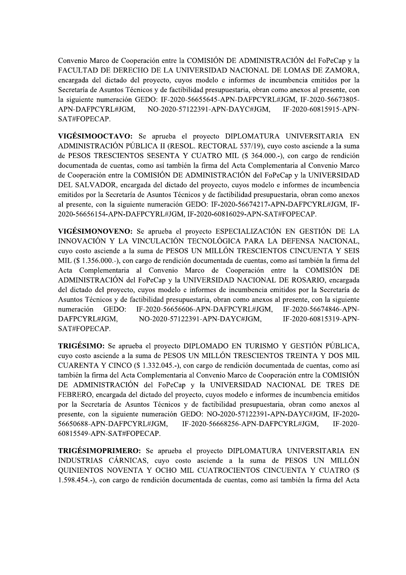Convenio Marco de Cooperación entre la COMISIÓN DE ADMINISTRACIÓN del FoPeCap y la FACULTAD DE DERECHO DE LA UNIVERSIDAD NACIONAL DE LOMAS DE ZAMORA, encargada del dictado del proyecto, cuyos modelo e informes de incumbencia emitidos por la Secretaría de Asuntos Técnicos y de factibilidad presupuestaria, obran como anexos al presente, con la siguiente numeración GEDO: IF-2020-56655645-APN-DAFPCYRL#JGM, IF-2020-56673805-NO-2020-57122391-APN-DAYC#JGM. APN-DAFPCYRL#JGM. IF-2020-60815915-APN-SAT#FOPECAP.

VIGÉSIMOOCTAVO: Se aprueba el proyecto DIPLOMATURA UNIVERSITARIA EN ADMINISTRACIÓN PÚBLICA II (RESOL. RECTORAL 537/19), cuyo costo asciende a la suma de PESOS TRESCIENTOS SESENTA Y CUATRO MIL (\$ 364.000.-), con cargo de rendición documentada de cuentas, como así también la firma del Acta Complementaria al Convenio Marco de Cooperación entre la COMISIÓN DE ADMINISTRACIÓN del FoPeCap y la UNIVERSIDAD DEL SALVADOR, encargada del dictado del proyecto, cuyos modelo e informes de incumbencia emitidos por la Secretaría de Asuntos Técnicos y de factibilidad presupuestaria, obran como anexos al presente, con la siguiente numeración GEDO: IF-2020-56674217-APN-DAFPCYRL#JGM, IF-2020-56656154-APN-DAFPCYRL#JGM, IF-2020-60816029-APN-SAT#FOPECAP.

VIGÉSIMONOVENO: Se aprueba el proyecto ESPECIALIZACIÓN EN GESTIÓN DE LA INNOVACIÓN Y LA VINCULACIÓN TECNOLÓGICA PARA LA DEFENSA NACIONAL, cuvo costo asciende a la suma de PESOS UN MILLÓN TRESCIENTOS CINCUENTA Y SEIS MIL (\$ 1.356,000.-), con cargo de rendición documentada de cuentas, como así también la firma del Acta Complementaria al Convenio Marco de Cooperación entre la COMISIÓN DE ADMINISTRACIÓN del FoPeCap y la UNIVERSIDAD NACIONAL DE ROSARIO, encargada del dictado del proyecto, cuyos modelo e informes de incumbencia emitidos por la Secretaría de Asuntos Técnicos y de factibilidad presupuestaria, obran como anexos al presente, con la siguiente numeración GEDO: IF-2020-56656606-APN-DAFPCYRL#JGM, IF-2020-56674846-APN-DAFPCYRL#JGM, NO-2020-57122391-APN-DAYC#JGM, IF-2020-60815319-APN-SAT#FOPECAP.

**TRIGÉSIMO:** Se aprueba el proyecto DIPLOMADO EN TURISMO Y GESTIÓN PÚBLICA, cuvo costo asciende a la suma de PESOS UN MILLÓN TRESCIENTOS TREINTA Y DOS MIL CUARENTA Y CINCO (\$1.332.045.-), con cargo de rendición documentada de cuentas, como así también la firma del Acta Complementaria al Convenio Marco de Cooperación entre la COMISIÓN DE ADMINISTRACIÓN del FoPeCap y la UNIVERSIDAD NACIONAL DE TRES DE FEBRERO, encargada del dictado del proyecto, cuyos modelo e informes de incumbencia emitidos por la Secretaría de Asuntos Técnicos y de factibilidad presupuestaria, obran como anexos al presente, con la siguiente numeración GEDO: NO-2020-57122391-APN-DAYC#JGM, IF-2020-56650688-APN-DAFPCYRL#JGM. IF-2020-56668256-APN-DAFPCYRL#JGM, IF-2020-60815549-APN-SAT#FOPECAP.

TRIGÉSIMOPRIMERO: Se aprueba el proyecto DIPLOMATURA UNIVERSITARIA EN INDUSTRIAS CÁRNICAS, cuyo costo asciende a la suma de PESOS UN MILLÓN QUINIENTOS NOVENTA Y OCHO MIL CUATROCIENTOS CINCUENTA Y CUATRO (\$ 1.598.454.-), con cargo de rendición documentada de cuentas, como así también la firma del Acta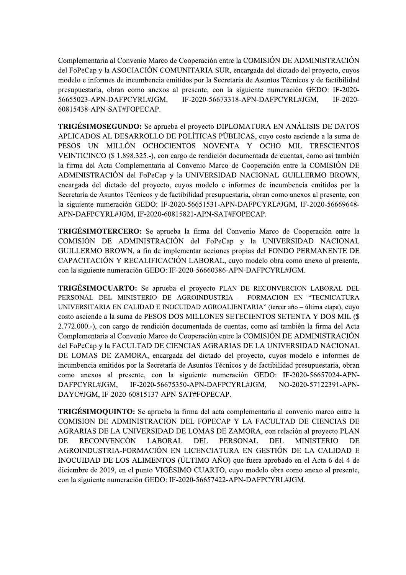Complementaria al Convenio Marco de Cooperación entre la COMISIÓN DE ADMINISTRACIÓN del FoPeCap y la ASOCIACIÓN COMUNITARIA SUR, encargada del dictado del proyecto, cuyos modelo e informes de incumbencia emitidos por la Secretaría de Asuntos Técnicos y de factibilidad presupuestaria, obran como anexos al presente, con la siguiente numeración GEDO: IF-2020-56655023-APN-DAFPCYRL#JGM, IF-2020-56673318-APN-DAFPCYRL#JGM, IF-2020-60815438-APN-SAT#FOPECAP.

**TRIGÉSIMOSEGUNDO:** Se aprueba el proyecto DIPLOMATURA EN ANÁLISIS DE DATOS APLICADOS AL DESARROLLO DE POLÍTICAS PÚBLICAS, cuyo costo asciende a la suma de PESOS UN MILLÓN OCHOCIENTOS NOVENTA Y OCHO MIL TRESCIENTOS VEINTICINCO (\$ 1.898.325.-), con cargo de rendición documentada de cuentas, como así también la firma del Acta Complementaria al Convenio Marco de Cooperación entre la COMISIÓN DE ADMINISTRACIÓN del FoPeCap y la UNIVERSIDAD NACIONAL GUILLERMO BROWN, encargada del dictado del proyecto, cuyos modelo e informes de incumbencia emitidos por la Secretaría de Asuntos Técnicos y de factibilidad presupuestaria, obran como anexos al presente, con la siguiente numeración GEDO: IF-2020-56651531-APN-DAFPCYRL#JGM, IF-2020-56669648-APN-DAFPCYRL#JGM, IF-2020-60815821-APN-SAT#FOPECAP.

**TRIGÉSIMOTERCERO:** Se aprueba la firma del Convenio Marco de Cooperación entre la COMISIÓN DE ADMINISTRACIÓN del FoPeCap y la UNIVERSIDAD NACIONAL GUILLERMO BROWN, a fin de implementar acciones propias del FONDO PERMANENTE DE CAPACITACIÓN Y RECALIFICACIÓN LABORAL, cuyo modelo obra como anexo al presente, con la siguiente numeración GEDO: IF-2020-56660386-APN-DAFPCYRL#JGM.

TRIGÉSIMOCUARTO: Se aprueba el proyecto PLAN DE RECONVERCION LABORAL DEL PERSONAL DEL MINISTERIO DE AGROINDUSTRIA - FORMACION EN "TECNICATURA UNIVERSITARIA EN CALIDAD E INOCUIDAD AGROALIENTARIA" (tercer año - última etapa), cuyo costo asciende a la suma de PESOS DOS MILLONES SETECIENTOS SETENTA Y DOS MIL (\$ 2.772.000.-), con cargo de rendición documentada de cuentas, como así también la firma del Acta Complementaria al Convenio Marco de Cooperación entre la COMISIÓN DE ADMINISTRACIÓN del FoPeCap y la FACULTAD DE CIENCIAS AGRARIAS DE LA UNIVERSIDAD NACIONAL DE LOMAS DE ZAMORA, encargada del dictado del proyecto, cuyos modelo e informes de incumbencia emitidos por la Secretaría de Asuntos Técnicos y de factibilidad presupuestaria, obran como anexos al presente, con la siguiente numeración GEDO: IF-2020-56657024-APN-IF-2020-56675350-APN-DAFPCYRL#JGM, NO-2020-57122391-APN-DAFPCYRL#JGM, DAYC#JGM, IF-2020-60815137-APN-SAT#FOPECAP.

**TRIGÉSIMOQUINTO:** Se aprueba la firma del acta complementaria al convenio marco entre la COMISION DE ADMINISTRACION DEL FOPECAP Y LA FACULTAD DE CIENCIAS DE AGRARIAS DE LA UNIVERSIDAD DE LOMAS DE ZAMORA, con relación al proyecto PLAN **RECONVENCÓN DEL PERSONAL** DE DE **LABORAL DEL MINISTERIO** AGROINDUSTRIA-FORMACIÓN EN LICENCIATURA EN GESTIÓN DE LA CALIDAD E INOCUIDAD DE LOS ALIMENTOS (ÚLTIMO AÑO) que fuera aprobado en el Acta 6 del 4 de diciembre de 2019, en el punto VIGÉSIMO CUARTO, cuyo modelo obra como anexo al presente, con la siguiente numeración GEDO: IF-2020-56657422-APN-DAFPCYRL#JGM.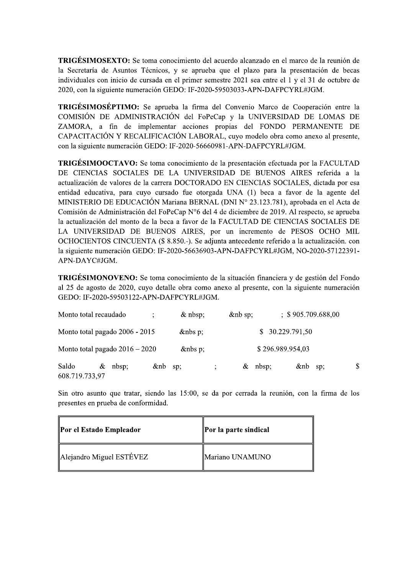**TRIGÉSIMOSEXTO:** Se toma conocimiento del acuerdo alcanzado en el marco de la reunión de la Secretaría de Asuntos Técnicos, y se aprueba que el plazo para la presentación de becas individuales con inicio de cursada en el primer semestre 2021 sea entre el 1 y el 31 de octubre de 2020, con la siguiente numeración GEDO: IF-2020-59503033-APN-DAFPCYRL#JGM.

**TRIGÉSIMOSÉPTIMO:** Se aprueba la firma del Convenio Marco de Cooperación entre la COMISIÓN DE ADMINISTRACIÓN del FoPeCap y la UNIVERSIDAD DE LOMAS DE ZAMORA, a fin de implementar acciones propias del FONDO PERMANENTE DE CAPACITACIÓN Y RECALIFICACIÓN LABORAL, cuyo modelo obra como anexo al presente, con la siguiente numeración GEDO: IF-2020-56660981-APN-DAFPCYRL#JGM.

**TRIGÉSIMOOCTAVO:** Se toma conocimiento de la presentación efectuada por la FACULTAD DE CIENCIAS SOCIALES DE LA UNIVERSIDAD DE BUENOS AIRES referida a la actualización de valores de la carrera DOCTORADO EN CIENCIAS SOCIALES, dictada por esa entidad educativa, para cuyo cursado fue otorgada UNA (1) beca a favor de la agente del MINISTERIO DE EDUCACIÓN Mariana BERNAL (DNI Nº 23.123.781), aprobada en el Acta de Comisión de Administración del FoPeCap N°6 del 4 de diciembre de 2019. Al respecto, se aprueba la actualización del monto de la beca a favor de la FACULTAD DE CIENCIAS SOCIALES DE LA UNIVERSIDAD DE BUENOS AIRES, por un incremento de PESOS OCHO MIL OCHOCIENTOS CINCUENTA (\$ 8.850.-). Se adjunta antecedente referido a la actualización. con la siguiente numeración GEDO: IF-2020-56636903-APN-DAFPCYRL#JGM, NO-2020-57122391-APN-DAYC#JGM.

**TRIGÉSIMONOVENO:** Se toma conocimiento de la situación financiera y de gestión del Fondo al 25 de agosto de 2020, cuyo detalle obra como anexo al presente, con la siguiente numeración GEDO: IF-2020-59503122-APN-DAFPCYRL#JGM.

| Monto total recaudado   |   |                                  |             | $\&$ nbsp;  | $\&$ nb sp; |            | $\frac{1}{2}$ \$ 905.709.688,00 |    |
|-------------------------|---|----------------------------------|-------------|-------------|-------------|------------|---------------------------------|----|
|                         |   | Monto total pagado 2006 - 2015   |             | $\&$ nbs p; |             |            | \$30.229.791,50                 |    |
|                         |   | Monto total pagado $2016 - 2020$ |             | $\&$ nbs p; |             |            | \$296.989.954,03                |    |
| Saldo<br>608.719.733.97 | & | nbsp;                            | $\&$ nb sp; |             |             | $\&$ nbsp; | $\&$ nb sp;                     | \$ |

Sin otro asunto que tratar, siendo las 15:00, se da por cerrada la reunión, con la firma de los presentes en prueba de conformidad.

| Por el Estado Empleador  | Por la parte sindical |
|--------------------------|-----------------------|
| Alejandro Miguel ESTÉVEZ | Mariano UNAMUNO       |